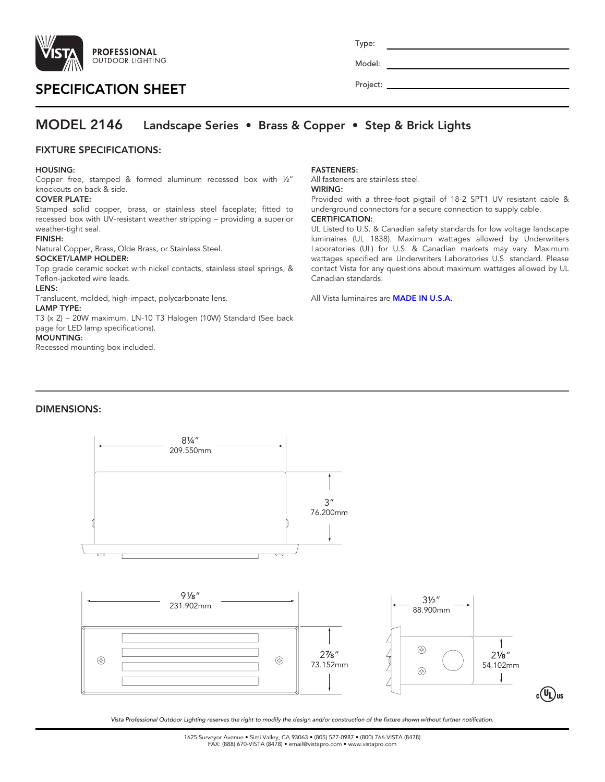

# SPECIFICATION SHEET

Project:

Type:

Model:

## MODEL 2146 Landscape Series • Brass & Copper • Step & Brick Lights

### FIXTURE SPECIFICATIONS:

#### HOUSING:

Copper free, stamped & formed aluminum recessed box with ½" knockouts on back & side.

#### COVER PLATE:

Stamped solid copper, brass, or stainless steel faceplate; fitted to recessed box with UV-resistant weather stripping – providing a superior weather-tight seal.

#### FINISH:

Natural Copper, Brass, Olde Brass, or Stainless Steel.

#### SOCKET/LAMP HOLDER:

Top grade ceramic socket with nickel contacts, stainless steel springs, & Teflon-jacketed wire leads.

#### LENS:

Translucent, molded, high-impact, polycarbonate lens.

#### LAMP TYPE:

T3 (x 2) – 20W maximum. LN-10 T3 Halogen (10W) Standard (See back page for LED lamp specifications).

#### MOUNTING:

Recessed mounting box included.

#### FASTENERS:

All fasteners are stainless steel.

# WIRING:

Provided with a three-foot pigtail of 18-2 SPT1 UV resistant cable & underground connectors for a secure connection to supply cable. CERTIFICATION:

UL Listed to U.S. & Canadian safety standards for low voltage landscape luminaires (UL 1838). Maximum wattages allowed by Underwriters Laboratories (UL) for U.S. & Canadian markets may vary. Maximum wattages specified are Underwriters Laboratories U.S. standard. Please contact Vista for any questions about maximum wattages allowed by UL Canadian standards.

All Vista luminaires are **MADE IN U.S.A.** 

#### DIMENSIONS:



*Vista Professional Outdoor Lighting reserves the right to modify the design and/or construction of the fixture shown without further notification.*